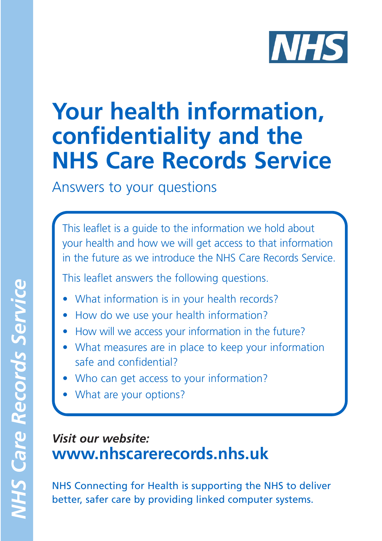

# **Your health information, confidentiality and the NHS Care Records Service**

Answers to your questions

This leaflet is a guide to the information we hold about your health and how we will get access to that information in the future as we introduce the NHS Care Records Service.

This leaflet answers the following questions.

- What information is in your health records?
- How do we use your health information?
- How will we access your information in the future?
- What measures are in place to keep your information safe and confidential?
- Who can get access to your information?
- What are your options?

#### *Visit our website:*  **www.nhscarerecords.nhs.uk**

NHS Connecting for Health is supporting the NHS to deliver better, safer care by providing linked computer systems.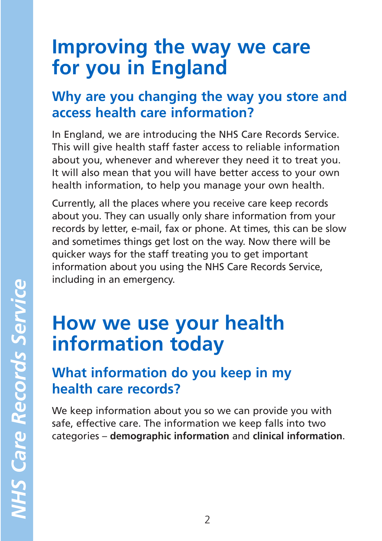### **Improving the way we care for you in England**

### **Why are you changing the way you store and access health care information?**

In England, we are introducing the NHS Care Records Service. This will give health staff faster access to reliable information about you, whenever and wherever they need it to treat you. It will also mean that you will have better access to your own health information, to help you manage your own health.

Currently, all the places where you receive care keep records about you. They can usually only share information from your records by letter, e-mail, fax or phone. At times, this can be slow and sometimes things get lost on the way. Now there will be quicker ways for the staff treating you to get important information about you using the NHS Care Records Service, including in an emergency.

### **How we use your health information today**

### **What information do you keep in my health care records?**

We keep information about you so we can provide you with safe, effective care. The information we keep falls into two categories – **demographic information** and **clinical information**.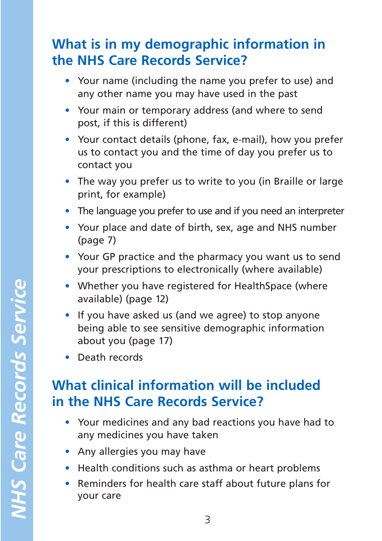### **What is in my demographic information in the NHS Care Records Service?**

- Your name (including the name you prefer to use) and any other name you may have used in the past
- Your main or temporary address (and where to send post, if this is different)
- Your contact details (phone, fax, e-mail), how you prefer us to contact you and the time of day you prefer us to contact you
- The way you prefer us to write to you (in Braille or large print, for example)
- The language you prefer to use and if you need an interpreter
- Your place and date of birth, sex, age and NHS number (page 7)
- Your GP practice and the pharmacy you want us to send your prescriptions to electronically (where available)
- Whether you have registered for HealthSpace (where available) (page 12)
- If you have asked us (and we agree) to stop anyone being able to see sensitive demographic information about you (page 17)
- Death records

### **What clinical information will be included in the NHS Care Records Service?**

- Your medicines and any bad reactions you have had to any medicines you have taken
- Any allergies you may have
- Health conditions such as asthma or heart problems
- Reminders for health care staff about future plans for your care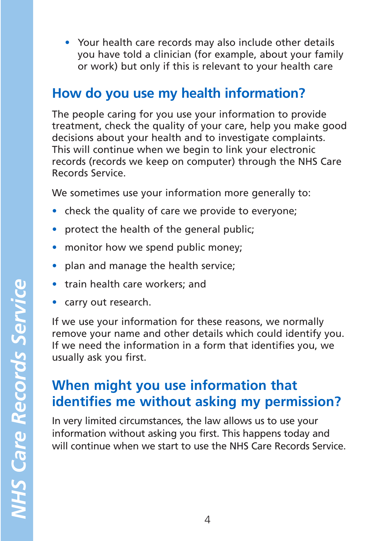• Your health care records may also include other details you have told a clinician (for example, about your family or work) but only if this is relevant to your health care

#### **How do you use my health information?**

The people caring for you use your information to provide treatment, check the quality of your care, help you make good decisions about your health and to investigate complaints. This will continue when we begin to link your electronic records (records we keep on computer) through the NHS Care Records Service.

We sometimes use your information more generally to:

- check the quality of care we provide to everyone;
- protect the health of the general public;
- monitor how we spend public money;
- plan and manage the health service;
- train health care workers; and
- carry out research.

If we use your information for these reasons, we normally remove your name and other details which could identify you. If we need the information in a form that identifies you, we usually ask you first.

### **When might you use information that identifies me without asking my permission?**

In very limited circumstances, the law allows us to use your information without asking you first. This happens today and will continue when we start to use the NHS Care Records Service.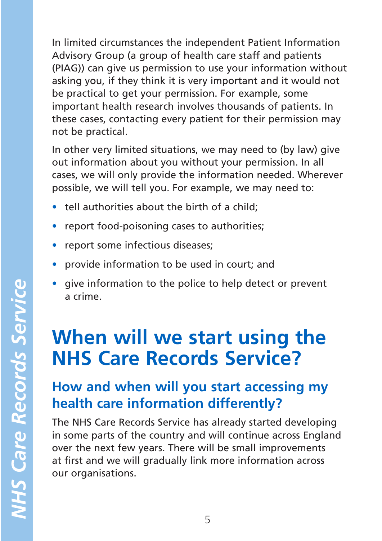In limited circumstances the independent Patient Information Advisory Group (a group of health care staff and patients (PIAG)) can give us permission to use your information without asking you, if they think it is very important and it would not be practical to get your permission. For example, some important health research involves thousands of patients. In these cases, contacting every patient for their permission may not be practical.

In other very limited situations, we may need to (by law) give out information about you without your permission. In all cases, we will only provide the information needed. Wherever possible, we will tell you. For example, we may need to:

- tell authorities about the birth of a child:
- report food-poisoning cases to authorities;
- report some infectious diseases;
- provide information to be used in court; and
- give information to the police to help detect or prevent a crime.

## **When will we start using the NHS Care Records Service?**

### **How and when will you start accessing my health care information differently?**

The NHS Care Records Service has already started developing in some parts of the country and will continue across England over the next few years. There will be small improvements at first and we will gradually link more information across our organisations.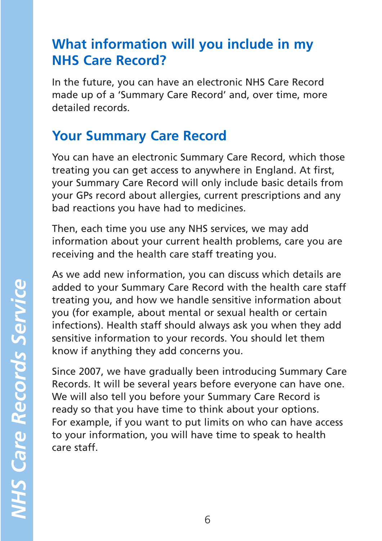### **What information will you include in my NHS Care Record?**

In the future, you can have an electronic NHS Care Record made up of a 'Summary Care Record' and, over time, more detailed records.

### **Your Summary Care Record**

You can have an electronic Summary Care Record, which those treating you can get access to anywhere in England. At first, your Summary Care Record will only include basic details from your GPs record about allergies, current prescriptions and any bad reactions you have had to medicines.

Then, each time you use any NHS services, we may add information about your current health problems, care you are receiving and the health care staff treating you.

As we add new information, you can discuss which details are added to your Summary Care Record with the health care staff treating you, and how we handle sensitive information about you (for example, about mental or sexual health or certain infections). Health staff should always ask you when they add sensitive information to your records. You should let them know if anything they add concerns you.

Since 2007, we have gradually been introducing Summary Care Records. It will be several years before everyone can have one. We will also tell you before your Summary Care Record is ready so that you have time to think about your options. For example, if you want to put limits on who can have access to your information, you will have time to speak to health care staff.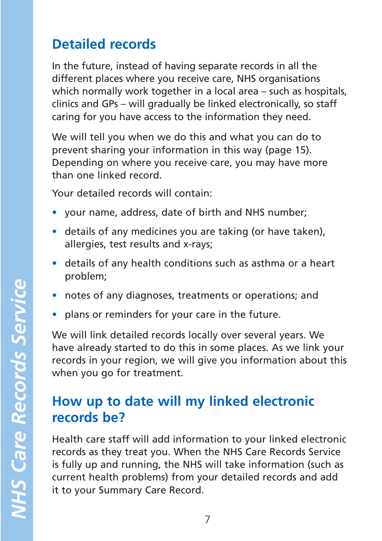### **Detailed records**

In the future, instead of having separate records in all the different places where you receive care, NHS organisations which normally work together in a local area – such as hospitals, clinics and GPs – will gradually be linked electronically, so staff caring for you have access to the information they need.

We will tell you when we do this and what you can do to prevent sharing your information in this way (page 15). Depending on where you receive care, you may have more than one linked record.

Your detailed records will contain:

- your name, address, date of birth and NHS number;
- details of any medicines you are taking (or have taken), allergies, test results and x-rays;
- details of any health conditions such as asthma or a heart problem;
- notes of any diagnoses, treatments or operations; and
- plans or reminders for your care in the future.

We will link detailed records locally over several years. We have already started to do this in some places. As we link your records in your region, we will give you information about this when you go for treatment.

### **How up to date will my linked electronic records be?**

Health care staff will add information to your linked electronic records as they treat you. When the NHS Care Records Service is fully up and running, the NHS will take information (such as current health problems) from your detailed records and add it to your Summary Care Record.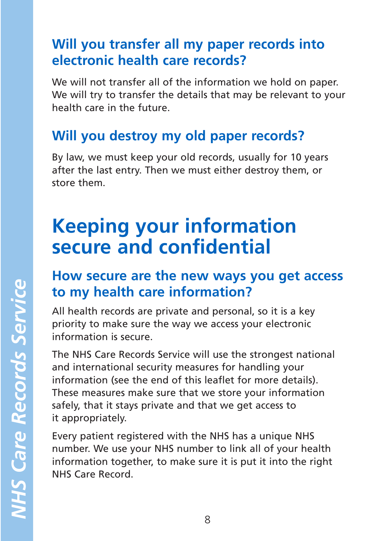### **Will you transfer all my paper records into electronic health care records?**

We will not transfer all of the information we hold on paper. We will try to transfer the details that may be relevant to your health care in the future.

### **Will you destroy my old paper records?**

By law, we must keep your old records, usually for 10 years after the last entry. Then we must either destroy them, or store them.

## **Keeping your information secure and confidential**

### **How secure are the new ways you get access to my health care information?**

All health records are private and personal, so it is a key priority to make sure the way we access your electronic information is secure.

The NHS Care Records Service will use the strongest national and international security measures for handling your information (see the end of this leaflet for more details). These measures make sure that we store your information safely, that it stays private and that we get access to it appropriately.

Every patient registered with the NHS has a unique NHS number. We use your NHS number to link all of your health information together, to make sure it is put it into the right NHS Care Record.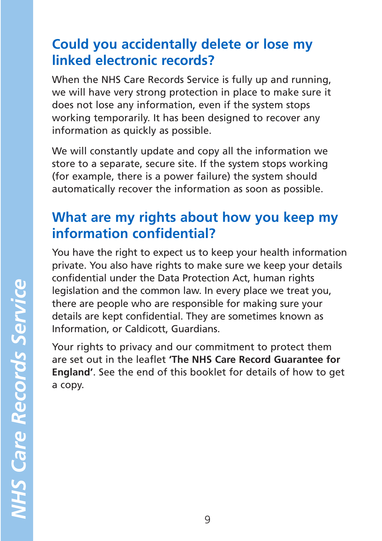### **Could you accidentally delete or lose my linked electronic records?**

When the NHS Care Records Service is fully up and running, we will have very strong protection in place to make sure it does not lose any information, even if the system stops working temporarily. It has been designed to recover any information as quickly as possible.

We will constantly update and copy all the information we store to a separate, secure site. If the system stops working (for example, there is a power failure) the system should automatically recover the information as soon as possible.

### **What are my rights about how you keep my information confidential?**

You have the right to expect us to keep your health information private. You also have rights to make sure we keep your details confidential under the Data Protection Act, human rights legislation and the common law. In every place we treat you, there are people who are responsible for making sure your details are kept confidential. They are sometimes known as Information, or Caldicott, Guardians.

Your rights to privacy and our commitment to protect them are set out in the leaflet **'The NHS Care Record Guarantee for England'**. See the end of this booklet for details of how to get a copy.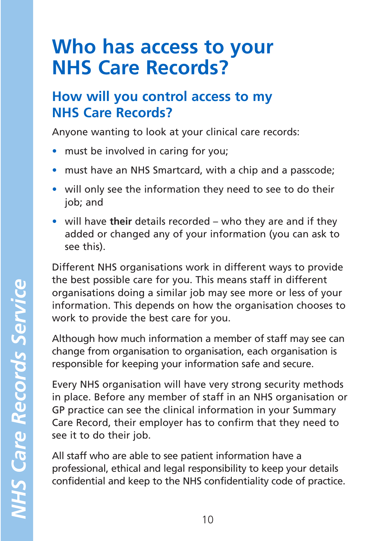### **Who has access to your NHS Care Records?**

### **How will you control access to my NHS Care Records?**

Anyone wanting to look at your clinical care records:

- must be involved in caring for you;
- must have an NHS Smartcard, with a chip and a passcode;
- will only see the information they need to see to do their job; and
- will have **their** details recorded who they are and if they added or changed any of your information (you can ask to see this).

Different NHS organisations work in different ways to provide the best possible care for you. This means staff in different organisations doing a similar job may see more or less of your information. This depends on how the organisation chooses to work to provide the best care for you.

Although how much information a member of staff may see can change from organisation to organisation, each organisation is responsible for keeping your information safe and secure.

Every NHS organisation will have very strong security methods in place. Before any member of staff in an NHS organisation or GP practice can see the clinical information in your Summary Care Record, their employer has to confirm that they need to see it to do their job.

All staff who are able to see patient information have a professional, ethical and legal responsibility to keep your details confidential and keep to the NHS confidentiality code of practice.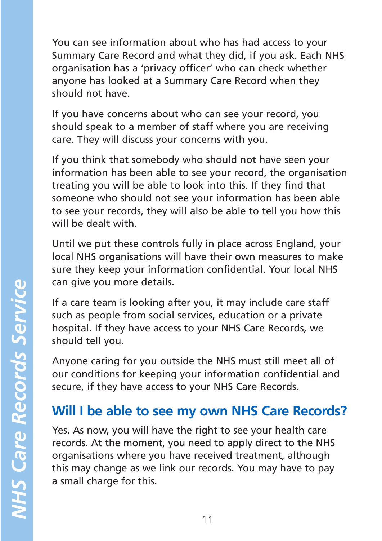You can see information about who has had access to your Summary Care Record and what they did, if you ask. Each NHS organisation has a 'privacy officer' who can check whether anyone has looked at a Summary Care Record when they should not have.

If you have concerns about who can see your record, you should speak to a member of staff where you are receiving care. They will discuss your concerns with you.

If you think that somebody who should not have seen your information has been able to see your record, the organisation treating you will be able to look into this. If they find that someone who should not see your information has been able to see your records, they will also be able to tell you how this will be dealt with.

Until we put these controls fully in place across England, your local NHS organisations will have their own measures to make sure they keep your information confidential. Your local NHS can give you more details.

If a care team is looking after you, it may include care staff such as people from social services, education or a private hospital. If they have access to your NHS Care Records, we should tell you.

Anyone caring for you outside the NHS must still meet all of our conditions for keeping your information confidential and secure, if they have access to your NHS Care Records.

### **Will I be able to see my own NHS Care Records?**

Yes. As now, you will have the right to see your health care records. At the moment, you need to apply direct to the NHS organisations where you have received treatment, although this may change as we link our records. You may have to pay a small charge for this.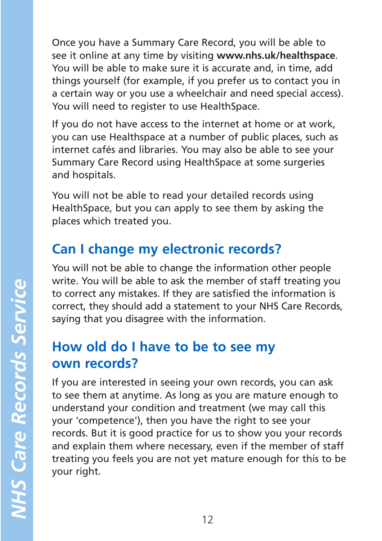Once you have a Summary Care Record, you will be able to see it online at any time by visiting **www.nhs.uk/healthspace**. You will be able to make sure it is accurate and, in time, add things yourself (for example, if you prefer us to contact you in a certain way or you use a wheelchair and need special access). You will need to register to use HealthSpace.

If you do not have access to the internet at home or at work, you can use Healthspace at a number of public places, such as internet cafés and libraries. You may also be able to see your Summary Care Record using HealthSpace at some surgeries and hospitals.

You will not be able to read your detailed records using HealthSpace, but you can apply to see them by asking the places which treated you.

### **Can I change my electronic records?**

You will not be able to change the information other people write. You will be able to ask the member of staff treating you to correct any mistakes. If they are satisfied the information is correct, they should add a statement to your NHS Care Records, saying that you disagree with the information.

### **How old do I have to be to see my own records?**

If you are interested in seeing your own records, you can ask to see them at anytime. As long as you are mature enough to understand your condition and treatment (we may call this your 'competence'), then you have the right to see your records. But it is good practice for us to show you your records and explain them where necessary, even if the member of staff treating you feels you are not yet mature enough for this to be your right.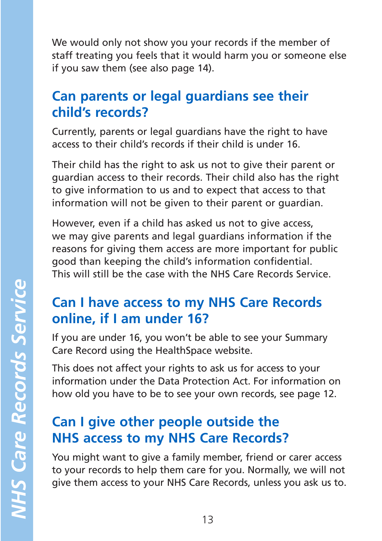We would only not show you your records if the member of staff treating you feels that it would harm you or someone else if you saw them (see also page 14).

### **Can parents or legal guardians see their child's records?**

Currently, parents or legal guardians have the right to have access to their child's records if their child is under 16.

Their child has the right to ask us not to give their parent or guardian access to their records. Their child also has the right to give information to us and to expect that access to that information will not be given to their parent or guardian.

However, even if a child has asked us not to give access, we may give parents and legal guardians information if the reasons for giving them access are more important for public good than keeping the child's information confidential. This will still be the case with the NHS Care Records Service.

### **Can I have access to my NHS Care Records online, if I am under 16?**

If you are under 16, you won't be able to see your Summary Care Record using the HealthSpace website.

This does not affect your rights to ask us for access to your information under the Data Protection Act. For information on how old you have to be to see your own records, see page 12.

### **Can I give other people outside the NHS access to my NHS Care Records?**

You might want to give a family member, friend or carer access to your records to help them care for you. Normally, we will not give them access to your NHS Care Records, unless you ask us to.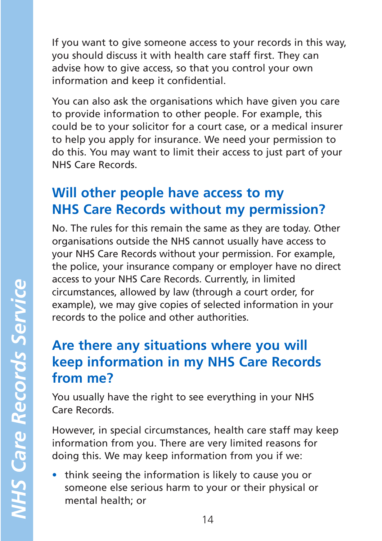If you want to give someone access to your records in this way, you should discuss it with health care staff first. They can advise how to give access, so that you control your own information and keep it confidential.

You can also ask the organisations which have given you care to provide information to other people. For example, this could be to your solicitor for a court case, or a medical insurer to help you apply for insurance. We need your permission to do this. You may want to limit their access to just part of your NHS Care Records.

### **Will other people have access to my NHS Care Records without my permission?**

No. The rules for this remain the same as they are today. Other organisations outside the NHS cannot usually have access to your NHS Care Records without your permission. For example, the police, your insurance company or employer have no direct access to your NHS Care Records. Currently, in limited circumstances, allowed by law (through a court order, for example), we may give copies of selected information in your records to the police and other authorities.

### **Are there any situations where you will keep information in my NHS Care Records from me?**

You usually have the right to see everything in your NHS Care Records.

However, in special circumstances, health care staff may keep information from you. There are very limited reasons for doing this. We may keep information from you if we:

• think seeing the information is likely to cause you or someone else serious harm to your or their physical or mental health; or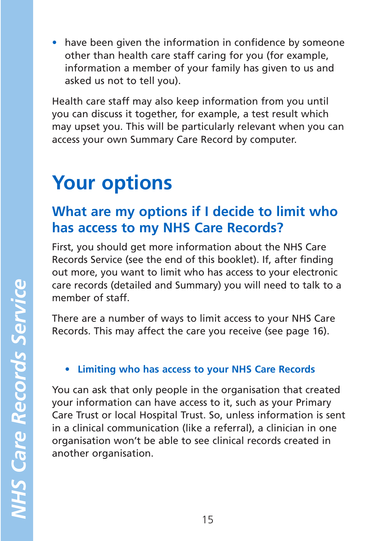• have been given the information in confidence by someone other than health care staff caring for you (for example, information a member of your family has given to us and asked us not to tell you).

Health care staff may also keep information from you until you can discuss it together, for example, a test result which may upset you. This will be particularly relevant when you can access your own Summary Care Record by computer.

# **Your options**

### **What are my options if I decide to limit who has access to my NHS Care Records?**

First, you should get more information about the NHS Care Records Service (see the end of this booklet). If, after finding out more, you want to limit who has access to your electronic care records (detailed and Summary) you will need to talk to a member of staff.

There are a number of ways to limit access to your NHS Care Records. This may affect the care you receive (see page 16).

#### • **Limiting who has access to your NHS Care Records**

You can ask that only people in the organisation that created your information can have access to it, such as your Primary Care Trust or local Hospital Trust. So, unless information is sent in a clinical communication (like a referral), a clinician in one organisation won't be able to see clinical records created in another organisation.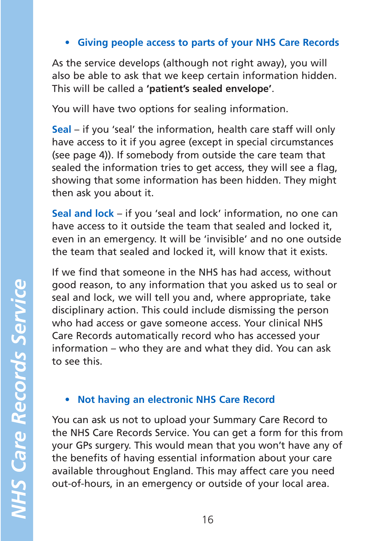• **Giving people access to parts of your NHS Care Records** 

As the service develops (although not right away), you will also be able to ask that we keep certain information hidden. This will be called a **'patient's sealed envelope'**.

You will have two options for sealing information.

**Seal** – if you 'seal' the information, health care staff will only have access to it if you agree (except in special circumstances (see page 4)). If somebody from outside the care team that sealed the information tries to get access, they will see a flag, showing that some information has been hidden. They might then ask you about it.

**Seal and lock** – if you 'seal and lock' information, no one can have access to it outside the team that sealed and locked it, even in an emergency. It will be 'invisible' and no one outside the team that sealed and locked it, will know that it exists.

If we find that someone in the NHS has had access, without good reason, to any information that you asked us to seal or seal and lock, we will tell you and, where appropriate, take disciplinary action. This could include dismissing the person who had access or gave someone access. Your clinical NHS Care Records automatically record who has accessed your information – who they are and what they did. You can ask to see this.

#### • **Not having an electronic NHS Care Record**

You can ask us not to upload your Summary Care Record to the NHS Care Records Service. You can get a form for this from your GPs surgery. This would mean that you won't have any of the benefits of having essential information about your care available throughout England. This may affect care you need out-of-hours, in an emergency or outside of your local area.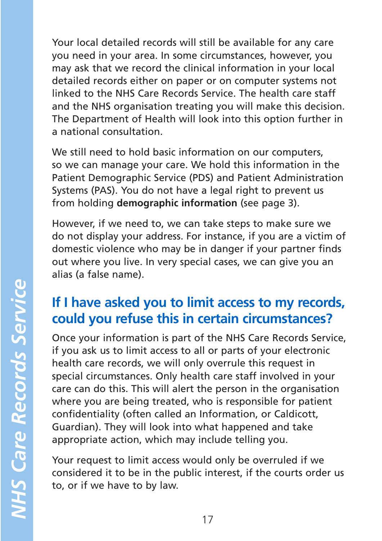Your local detailed records will still be available for any care you need in your area. In some circumstances, however, you may ask that we record the clinical information in your local detailed records either on paper or on computer systems not linked to the NHS Care Records Service. The health care staff and the NHS organisation treating you will make this decision. The Department of Health will look into this option further in a national consultation.

We still need to hold basic information on our computers, so we can manage your care. We hold this information in the Patient Demographic Service (PDS) and Patient Administration Systems (PAS). You do not have a legal right to prevent us from holding **demographic information** (see page 3).

However, if we need to, we can take steps to make sure we do not display your address. For instance, if you are a victim of domestic violence who may be in danger if your partner finds out where you live. In very special cases, we can give you an alias (a false name).

### **If I have asked you to limit access to my records, could you refuse this in certain circumstances?**

Once your information is part of the NHS Care Records Service, if you ask us to limit access to all or parts of your electronic health care records, we will only overrule this request in special circumstances. Only health care staff involved in your care can do this. This will alert the person in the organisation where you are being treated, who is responsible for patient confidentiality (often called an Information, or Caldicott, Guardian). They will look into what happened and take appropriate action, which may include telling you.

Your request to limit access would only be overruled if we considered it to be in the public interest, if the courts order us to, or if we have to by law.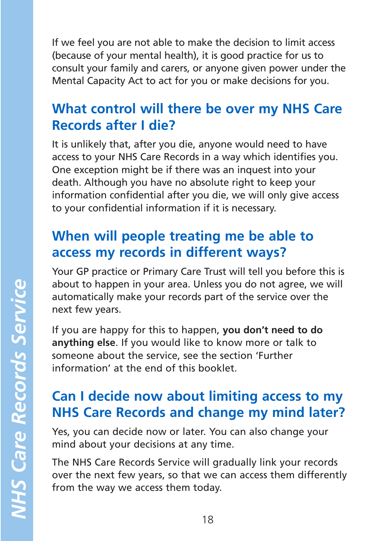If we feel you are not able to make the decision to limit access (because of your mental health), it is good practice for us to consult your family and carers, or anyone given power under the Mental Capacity Act to act for you or make decisions for you.

### **What control will there be over my NHS Care Records after I die?**

It is unlikely that, after you die, anyone would need to have access to your NHS Care Records in a way which identifies you. One exception might be if there was an inquest into your death. Although you have no absolute right to keep your information confidential after you die, we will only give access to your confidential information if it is necessary.

### **When will people treating me be able to access my records in different ways?**

Your GP practice or Primary Care Trust will tell you before this is about to happen in your area. Unless you do not agree, we will automatically make your records part of the service over the next few years.

If you are happy for this to happen, **you don't need to do anything else**. If you would like to know more or talk to someone about the service, see the section 'Further information' at the end of this booklet.

### **Can I decide now about limiting access to my NHS Care Records and change my mind later?**

Yes, you can decide now or later. You can also change your mind about your decisions at any time.

The NHS Care Records Service will gradually link your records over the next few years, so that we can access them differently from the way we access them today.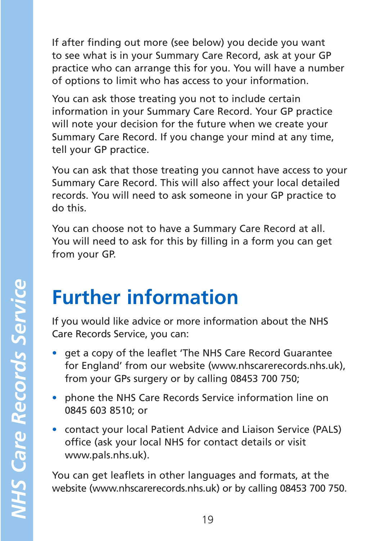If after finding out more (see below) you decide you want to see what is in your Summary Care Record, ask at your GP practice who can arrange this for you. You will have a number of options to limit who has access to your information.

You can ask those treating you not to include certain information in your Summary Care Record. Your GP practice will note your decision for the future when we create your Summary Care Record. If you change your mind at any time, tell your GP practice.

You can ask that those treating you cannot have access to your Summary Care Record. This will also affect your local detailed records. You will need to ask someone in your GP practice to do this.

You can choose not to have a Summary Care Record at all. You will need to ask for this by filling in a form you can get from your GP.

## **Further information**

If you would like advice or more information about the NHS Care Records Service, you can:

- get a copy of the leaflet 'The NHS Care Record Guarantee for England' from our website (www.nhscarerecords.nhs.uk), from your GPs surgery or by calling 08453 700 750;
- phone the NHS Care Records Service information line on 0845 603 8510; or
- contact your local Patient Advice and Liaison Service (PALS) office (ask your local NHS for contact details or visit www.pals.nhs.uk).

You can get leaflets in other languages and formats, at the website (www.nhscarerecords.nhs.uk) or by calling 08453 700 750.